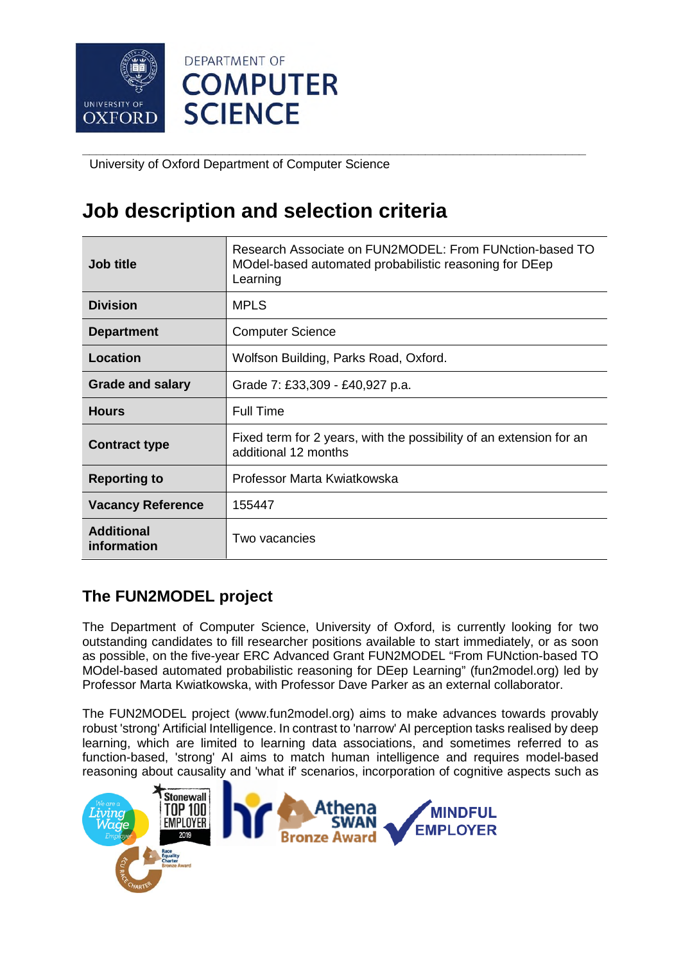

**\_\_\_\_\_\_\_\_\_\_\_\_\_\_\_\_\_\_\_\_\_\_\_\_\_\_\_\_\_\_\_\_\_\_\_\_\_\_\_\_\_\_\_\_\_\_\_\_\_\_\_\_\_\_\_\_\_\_\_\_\_\_\_\_\_\_\_\_\_\_\_\_** University of Oxford Department of Computer Science

# **Job description and selection criteria**

| Job title                        | Research Associate on FUN2MODEL: From FUNction-based TO<br>MOdel-based automated probabilistic reasoning for DEep<br>Learning |
|----------------------------------|-------------------------------------------------------------------------------------------------------------------------------|
| <b>Division</b>                  | <b>MPLS</b>                                                                                                                   |
| <b>Department</b>                | <b>Computer Science</b>                                                                                                       |
| Location                         | Wolfson Building, Parks Road, Oxford.                                                                                         |
| <b>Grade and salary</b>          | Grade 7: £33,309 - £40,927 p.a.                                                                                               |
| <b>Hours</b>                     | <b>Full Time</b>                                                                                                              |
| <b>Contract type</b>             | Fixed term for 2 years, with the possibility of an extension for an<br>additional 12 months                                   |
| <b>Reporting to</b>              | Professor Marta Kwiatkowska                                                                                                   |
| <b>Vacancy Reference</b>         | 155447                                                                                                                        |
| <b>Additional</b><br>information | Two vacancies                                                                                                                 |

# **The FUN2MODEL project**

The Department of Computer Science, University of Oxford, is currently looking for two outstanding candidates to fill researcher positions available to start immediately, or as soon as possible, on the five-year ERC Advanced Grant FUN2MODEL "From FUNction-based TO MOdel-based automated probabilistic reasoning for DEep Learning" (fun2model.org) led by Professor Marta Kwiatkowska, with Professor Dave Parker as an external collaborator.

The FUN2MODEL project (www.fun2model.org) aims to make advances towards provably robust 'strong' Artificial Intelligence. In contrast to 'narrow' AI perception tasks realised by deep learning, which are limited to learning data associations, and sometimes referred to as function-based, 'strong' AI aims to match human intelligence and requires model-based reasoning about causality and 'what if' scenarios, incorporation of cognitive aspects such as

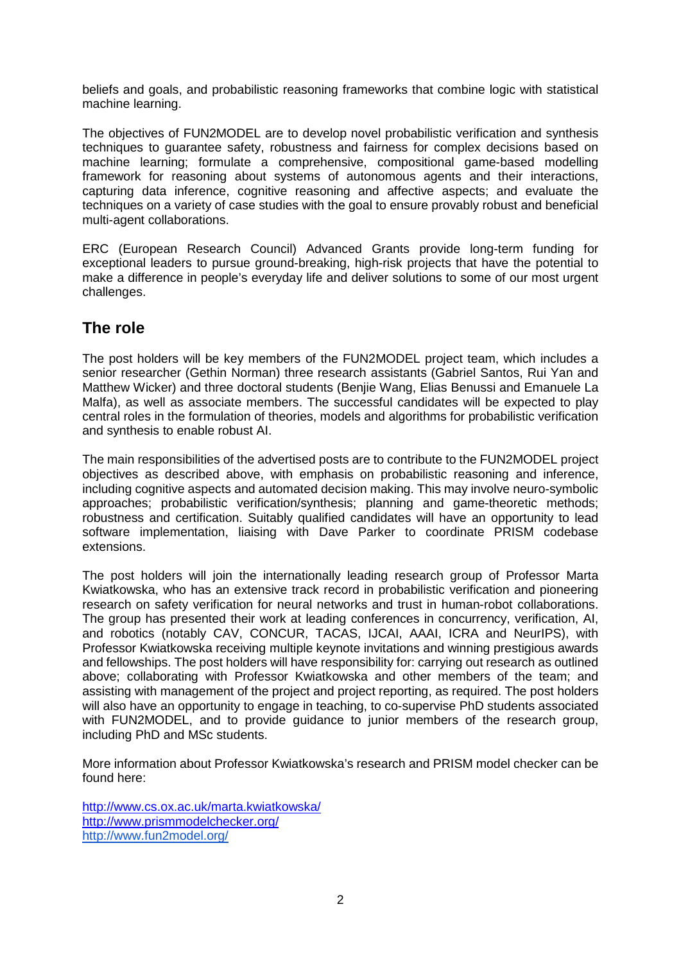beliefs and goals, and probabilistic reasoning frameworks that combine logic with statistical machine learning.

The objectives of FUN2MODEL are to develop novel probabilistic verification and synthesis techniques to guarantee safety, robustness and fairness for complex decisions based on machine learning; formulate a comprehensive, compositional game-based modelling framework for reasoning about systems of autonomous agents and their interactions, capturing data inference, cognitive reasoning and affective aspects; and evaluate the techniques on a variety of case studies with the goal to ensure provably robust and beneficial multi-agent collaborations.

ERC (European Research Council) Advanced Grants provide long-term funding for exceptional leaders to pursue ground-breaking, high-risk projects that have the potential to make a difference in people's everyday life and deliver solutions to some of our most urgent challenges.

# **The role**

The post holders will be key members of the FUN2MODEL project team, which includes a senior researcher (Gethin Norman) three research assistants (Gabriel Santos, Rui Yan and Matthew Wicker) and three doctoral students (Benjie Wang, Elias Benussi and Emanuele La Malfa), as well as associate members. The successful candidates will be expected to play central roles in the formulation of theories, models and algorithms for probabilistic verification and synthesis to enable robust AI.

The main responsibilities of the advertised posts are to contribute to the FUN2MODEL project objectives as described above, with emphasis on probabilistic reasoning and inference, including cognitive aspects and automated decision making. This may involve neuro-symbolic approaches; probabilistic verification/synthesis; planning and game-theoretic methods; robustness and certification. Suitably qualified candidates will have an opportunity to lead software implementation, liaising with Dave Parker to coordinate PRISM codebase extensions.

The post holders will join the internationally leading research group of Professor Marta Kwiatkowska, who has an extensive track record in probabilistic verification and pioneering research on safety verification for neural networks and trust in human-robot collaborations. The group has presented their work at leading conferences in concurrency, verification, AI, and robotics (notably CAV, CONCUR, TACAS, IJCAI, AAAI, ICRA and NeurIPS), with Professor Kwiatkowska receiving multiple keynote invitations and winning prestigious awards and fellowships. The post holders will have responsibility for: carrying out research as outlined above; collaborating with Professor Kwiatkowska and other members of the team; and assisting with management of the project and project reporting, as required. The post holders will also have an opportunity to engage in teaching, to co-supervise PhD students associated with FUN2MODEL, and to provide quidance to junior members of the research group, including PhD and MSc students.

More information about Professor Kwiatkowska's research and PRISM model checker can be found here:

http://www.cs.ox.ac.uk/marta.kwiatkowska/ http://www.prismmodelchecker.org/ http://www.fun2model.org/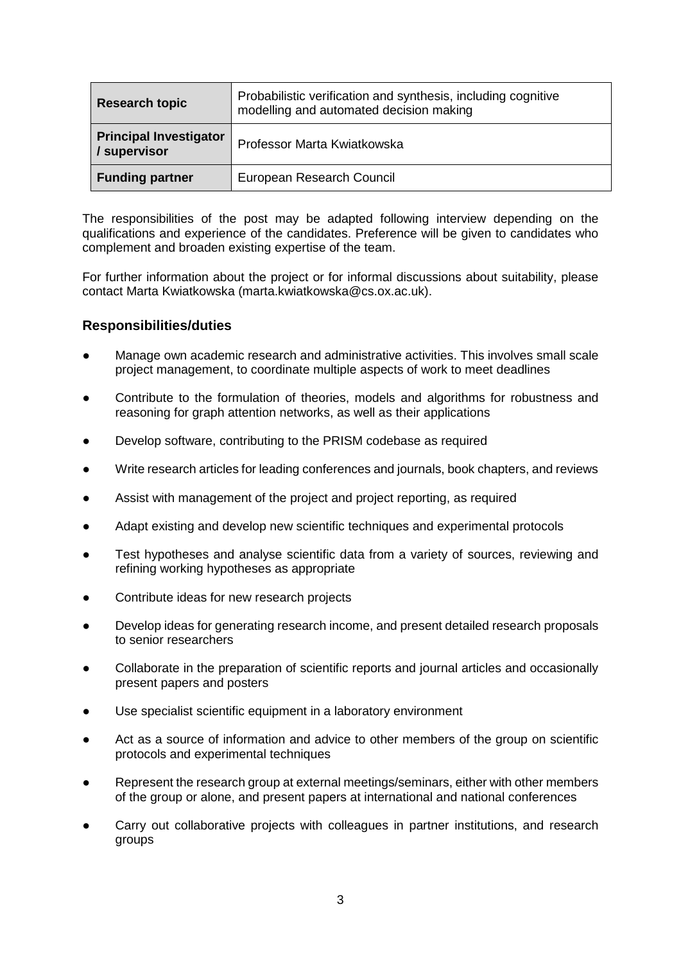| <b>Research topic</b>                         | Probabilistic verification and synthesis, including cognitive<br>modelling and automated decision making |
|-----------------------------------------------|----------------------------------------------------------------------------------------------------------|
| <b>Principal Investigator</b><br>/ supervisor | Professor Marta Kwiatkowska                                                                              |
| <b>Funding partner</b>                        | European Research Council                                                                                |

The responsibilities of the post may be adapted following interview depending on the qualifications and experience of the candidates. Preference will be given to candidates who complement and broaden existing expertise of the team.

For further information about the project or for informal discussions about suitability, please contact Marta Kwiatkowska (marta.kwiatkowska@cs.ox.ac.uk).

#### **Responsibilities/duties**

- Manage own academic research and administrative activities. This involves small scale project management, to coordinate multiple aspects of work to meet deadlines
- Contribute to the formulation of theories, models and algorithms for robustness and reasoning for graph attention networks, as well as their applications
- Develop software, contributing to the PRISM codebase as required
- Write research articles for leading conferences and journals, book chapters, and reviews
- Assist with management of the project and project reporting, as required
- Adapt existing and develop new scientific techniques and experimental protocols
- Test hypotheses and analyse scientific data from a variety of sources, reviewing and refining working hypotheses as appropriate
- Contribute ideas for new research projects
- Develop ideas for generating research income, and present detailed research proposals to senior researchers
- Collaborate in the preparation of scientific reports and journal articles and occasionally present papers and posters
- Use specialist scientific equipment in a laboratory environment
- Act as a source of information and advice to other members of the group on scientific protocols and experimental techniques
- Represent the research group at external meetings/seminars, either with other members of the group or alone, and present papers at international and national conferences
- Carry out collaborative projects with colleagues in partner institutions, and research groups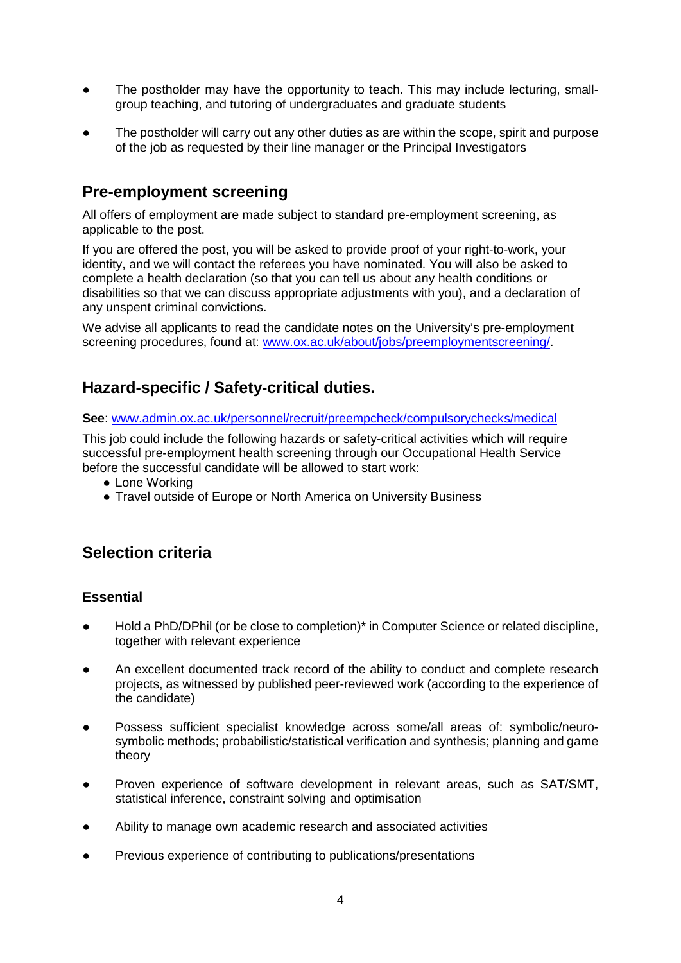- The postholder may have the opportunity to teach. This may include lecturing, smallgroup teaching, and tutoring of undergraduates and graduate students
- The postholder will carry out any other duties as are within the scope, spirit and purpose of the job as requested by their line manager or the Principal Investigators

### **Pre-employment screening**

All offers of employment are made subject to standard pre-employment screening, as applicable to the post.

If you are offered the post, you will be asked to provide proof of your right-to-work, your identity, and we will contact the referees you have nominated. You will also be asked to complete a health declaration (so that you can tell us about any health conditions or disabilities so that we can discuss appropriate adjustments with you), and a declaration of any unspent criminal convictions.

We advise all applicants to read the candidate notes on the University's pre-employment screening procedures, found at: www.ox.ac.uk/about/jobs/preemploymentscreening/.

# **Hazard-specific / Safety-critical duties.**

**See**: www.admin.ox.ac.uk/personnel/recruit/preempcheck/compulsorychecks/medical

This job could include the following hazards or safety-critical activities which will require successful pre-employment health screening through our Occupational Health Service before the successful candidate will be allowed to start work:

- Lone Working
- Travel outside of Europe or North America on University Business

### **Selection criteria**

#### **Essential**

- Hold a PhD/DPhil (or be close to completion)\* in Computer Science or related discipline, together with relevant experience
- An excellent documented track record of the ability to conduct and complete research projects, as witnessed by published peer-reviewed work (according to the experience of the candidate)
- Possess sufficient specialist knowledge across some/all areas of: symbolic/neurosymbolic methods; probabilistic/statistical verification and synthesis; planning and game theory
- Proven experience of software development in relevant areas, such as SAT/SMT, statistical inference, constraint solving and optimisation
- Ability to manage own academic research and associated activities
- Previous experience of contributing to publications/presentations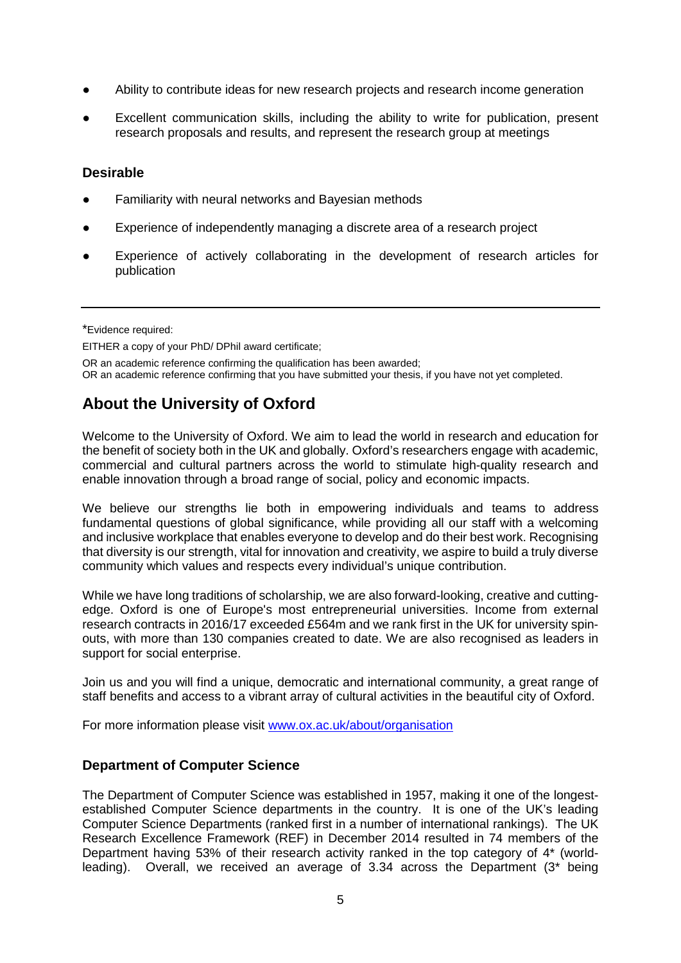- Ability to contribute ideas for new research projects and research income generation
- Excellent communication skills, including the ability to write for publication, present research proposals and results, and represent the research group at meetings

#### **Desirable**

- Familiarity with neural networks and Bayesian methods
- Experience of independently managing a discrete area of a research project
- Experience of actively collaborating in the development of research articles for publication

\*Evidence required:

EITHER a copy of your PhD/ DPhil award certificate;

OR an academic reference confirming the qualification has been awarded;

OR an academic reference confirming that you have submitted your thesis, if you have not yet completed.

# **About the University of Oxford**

Welcome to the University of Oxford. We aim to lead the world in research and education for the benefit of society both in the UK and globally. Oxford's researchers engage with academic, commercial and cultural partners across the world to stimulate high-quality research and enable innovation through a broad range of social, policy and economic impacts.

We believe our strengths lie both in empowering individuals and teams to address fundamental questions of global significance, while providing all our staff with a welcoming and inclusive workplace that enables everyone to develop and do their best work. Recognising that diversity is our strength, vital for innovation and creativity, we aspire to build a truly diverse community which values and respects every individual's unique contribution.

While we have long traditions of scholarship, we are also forward-looking, creative and cuttingedge. Oxford is one of Europe's most entrepreneurial universities. Income from external research contracts in 2016/17 exceeded £564m and we rank first in the UK for university spinouts, with more than 130 companies created to date. We are also recognised as leaders in support for social enterprise.

Join us and you will find a unique, democratic and international community, a great range of staff benefits and access to a vibrant array of cultural activities in the beautiful city of Oxford.

For more information please visit www.ox.ac.uk/about/organisation

#### **Department of Computer Science**

The Department of Computer Science was established in 1957, making it one of the longestestablished Computer Science departments in the country. It is one of the UK's leading Computer Science Departments (ranked first in a number of international rankings). The UK Research Excellence Framework (REF) in December 2014 resulted in 74 members of the Department having 53% of their research activity ranked in the top category of 4\* (worldleading). Overall, we received an average of 3.34 across the Department (3\* being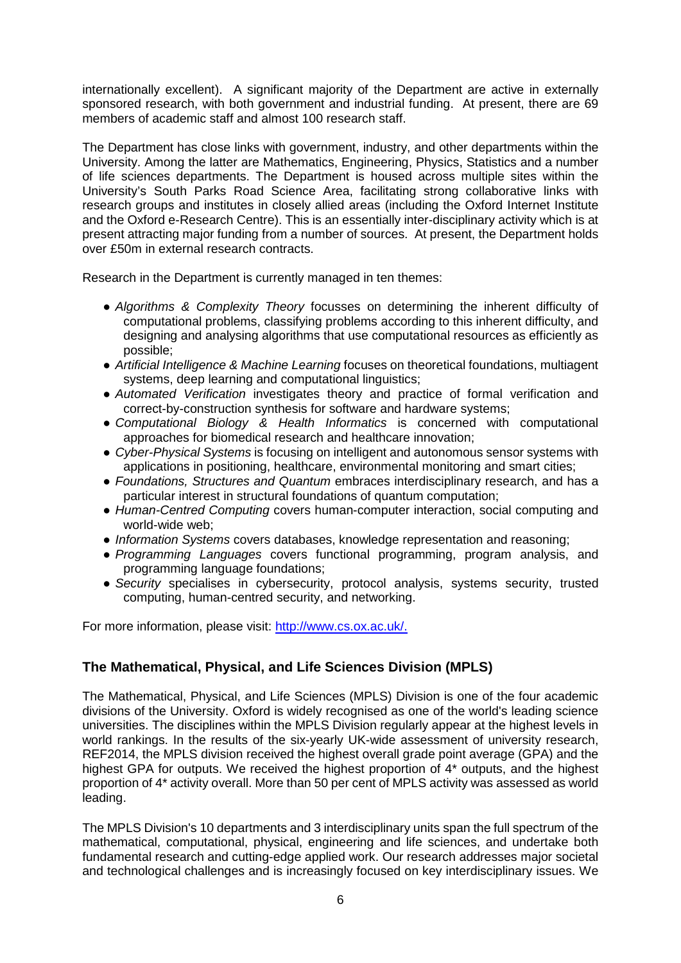internationally excellent). A significant majority of the Department are active in externally sponsored research, with both government and industrial funding. At present, there are 69 members of academic staff and almost 100 research staff.

The Department has close links with government, industry, and other departments within the University. Among the latter are Mathematics, Engineering, Physics, Statistics and a number of life sciences departments. The Department is housed across multiple sites within the University's South Parks Road Science Area, facilitating strong collaborative links with research groups and institutes in closely allied areas (including the Oxford Internet Institute and the Oxford e-Research Centre). This is an essentially inter-disciplinary activity which is at present attracting major funding from a number of sources. At present, the Department holds over £50m in external research contracts.

Research in the Department is currently managed in ten themes:

- *Algorithms & Complexity Theory* focusses on determining the inherent difficulty of computational problems, classifying problems according to this inherent difficulty, and designing and analysing algorithms that use computational resources as efficiently as possible;
- *Artificial Intelligence & Machine Learning* focuses on theoretical foundations, multiagent systems, deep learning and computational linguistics;
- *Automated Verification* investigates theory and practice of formal verification and correct-by-construction synthesis for software and hardware systems;
- *Computational Biology & Health Informatics* is concerned with computational approaches for biomedical research and healthcare innovation;
- *Cyber-Physical Systems* is focusing on intelligent and autonomous sensor systems with applications in positioning, healthcare, environmental monitoring and smart cities;
- *Foundations, Structures and Quantum* embraces interdisciplinary research, and has a particular interest in structural foundations of quantum computation;
- *Human-Centred Computing* covers human-computer interaction, social computing and world-wide web;
- *Information Systems* covers databases, knowledge representation and reasoning;
- *Programming Languages* covers functional programming, program analysis, and programming language foundations;
- *Security* specialises in cybersecurity, protocol analysis, systems security, trusted computing, human-centred security, and networking.

For more information, please visit: http://www.cs.ox.ac.uk/.

### **The Mathematical, Physical, and Life Sciences Division (MPLS)**

The Mathematical, Physical, and Life Sciences (MPLS) Division is one of the four academic divisions of the University. Oxford is widely recognised as one of the world's leading science universities. The disciplines within the MPLS Division regularly appear at the highest levels in world rankings. In the results of the six-yearly UK-wide assessment of university research, REF2014, the MPLS division received the highest overall grade point average (GPA) and the highest GPA for outputs. We received the highest proportion of 4\* outputs, and the highest proportion of 4\* activity overall. More than 50 per cent of MPLS activity was assessed as world leading.

The MPLS Division's 10 departments and 3 interdisciplinary units span the full spectrum of the mathematical, computational, physical, engineering and life sciences, and undertake both fundamental research and cutting-edge applied work. Our research addresses major societal and technological challenges and is increasingly focused on key interdisciplinary issues. We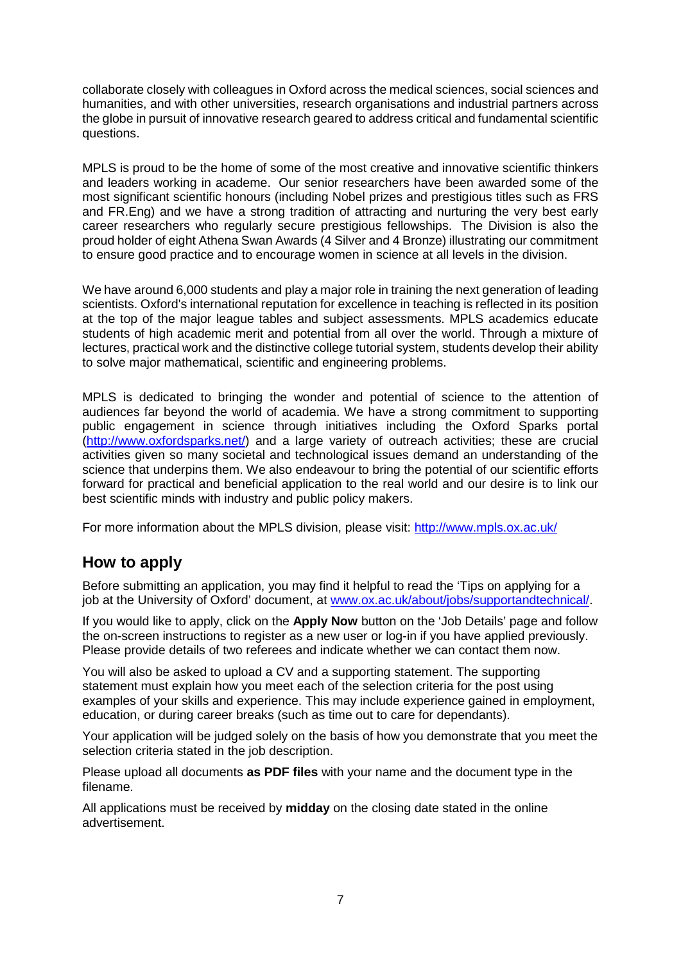collaborate closely with colleagues in Oxford across the medical sciences, social sciences and humanities, and with other universities, research organisations and industrial partners across the globe in pursuit of innovative research geared to address critical and fundamental scientific questions.

MPLS is proud to be the home of some of the most creative and innovative scientific thinkers and leaders working in academe. Our senior researchers have been awarded some of the most significant scientific honours (including Nobel prizes and prestigious titles such as FRS and FR.Eng) and we have a strong tradition of attracting and nurturing the very best early career researchers who regularly secure prestigious fellowships. The Division is also the proud holder of eight Athena Swan Awards (4 Silver and 4 Bronze) illustrating our commitment to ensure good practice and to encourage women in science at all levels in the division.

We have around 6,000 students and play a major role in training the next generation of leading scientists. Oxford's international reputation for excellence in teaching is reflected in its position at the top of the major league tables and subject assessments. MPLS academics educate students of high academic merit and potential from all over the world. Through a mixture of lectures, practical work and the distinctive college tutorial system, students develop their ability to solve major mathematical, scientific and engineering problems.

MPLS is dedicated to bringing the wonder and potential of science to the attention of audiences far beyond the world of academia. We have a strong commitment to supporting public engagement in science through initiatives including the Oxford Sparks portal (http://www.oxfordsparks.net/) and a large variety of outreach activities; these are crucial activities given so many societal and technological issues demand an understanding of the science that underpins them. We also endeavour to bring the potential of our scientific efforts forward for practical and beneficial application to the real world and our desire is to link our best scientific minds with industry and public policy makers.

For more information about the MPLS division, please visit: http://www.mpls.ox.ac.uk/

# **How to apply**

Before submitting an application, you may find it helpful to read the 'Tips on applying for a job at the University of Oxford' document, at www.ox.ac.uk/about/jobs/supportandtechnical/.

If you would like to apply, click on the **Apply Now** button on the 'Job Details' page and follow the on-screen instructions to register as a new user or log-in if you have applied previously. Please provide details of two referees and indicate whether we can contact them now.

You will also be asked to upload a CV and a supporting statement. The supporting statement must explain how you meet each of the selection criteria for the post using examples of your skills and experience. This may include experience gained in employment, education, or during career breaks (such as time out to care for dependants).

Your application will be judged solely on the basis of how you demonstrate that you meet the selection criteria stated in the job description.

Please upload all documents **as PDF files** with your name and the document type in the filename.

All applications must be received by **midday** on the closing date stated in the online advertisement.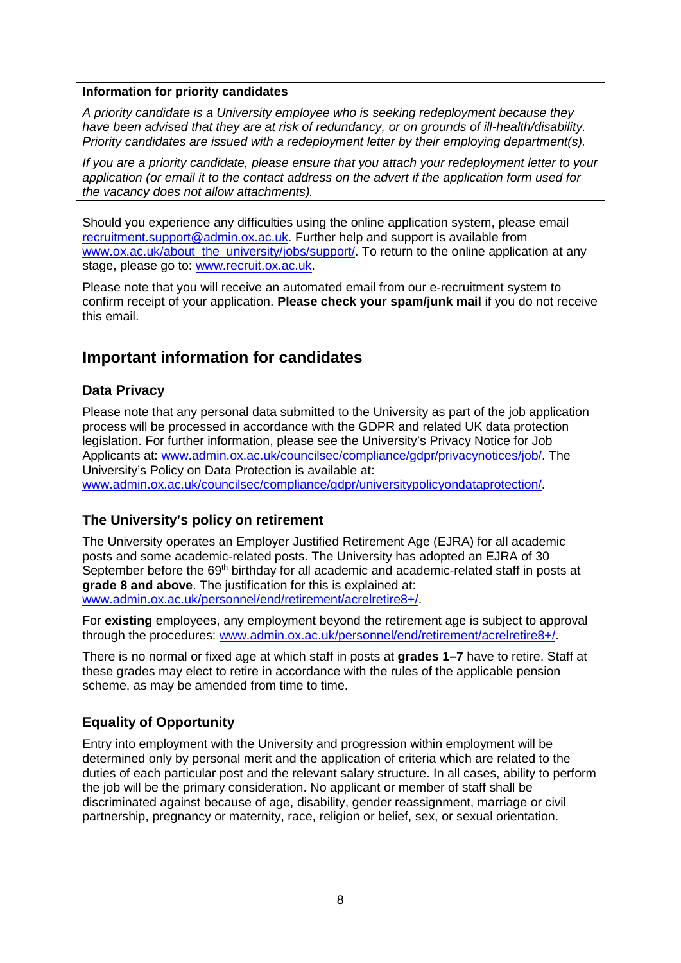#### **Information for priority candidates**

*A priority candidate is a University employee who is seeking redeployment because they have been advised that they are at risk of redundancy, or on grounds of ill-health/disability. Priority candidates are issued with a redeployment letter by their employing department(s).*

*If you are a priority candidate, please ensure that you attach your redeployment letter to your application (or email it to the contact address on the advert if the application form used for the vacancy does not allow attachments).* 

Should you experience any difficulties using the online application system, please email recruitment.support@admin.ox.ac.uk. Further help and support is available from www.ox.ac.uk/about\_the\_university/jobs/support/. To return to the online application at any stage, please go to: www.recruit.ox.ac.uk.

Please note that you will receive an automated email from our e-recruitment system to confirm receipt of your application. **Please check your spam/junk mail** if you do not receive this email.

# **Important information for candidates**

#### **Data Privacy**

Please note that any personal data submitted to the University as part of the job application process will be processed in accordance with the GDPR and related UK data protection legislation. For further information, please see the University's Privacy Notice for Job Applicants at: www.admin.ox.ac.uk/councilsec/compliance/gdpr/privacynotices/job/. The University's Policy on Data Protection is available at: www.admin.ox.ac.uk/councilsec/compliance/gdpr/universitypolicyondataprotection/.

#### **The University's policy on retirement**

The University operates an Employer Justified Retirement Age (EJRA) for all academic posts and some academic-related posts. The University has adopted an EJRA of 30 September before the 69<sup>th</sup> birthday for all academic and academic-related staff in posts at **grade 8 and above**. The justification for this is explained at: www.admin.ox.ac.uk/personnel/end/retirement/acrelretire8+/.

For **existing** employees, any employment beyond the retirement age is subject to approval through the procedures: www.admin.ox.ac.uk/personnel/end/retirement/acrelretire8+/.

There is no normal or fixed age at which staff in posts at **grades 1–7** have to retire. Staff at these grades may elect to retire in accordance with the rules of the applicable pension scheme, as may be amended from time to time.

#### **Equality of Opportunity**

Entry into employment with the University and progression within employment will be determined only by personal merit and the application of criteria which are related to the duties of each particular post and the relevant salary structure. In all cases, ability to perform the job will be the primary consideration. No applicant or member of staff shall be discriminated against because of age, disability, gender reassignment, marriage or civil partnership, pregnancy or maternity, race, religion or belief, sex, or sexual orientation.